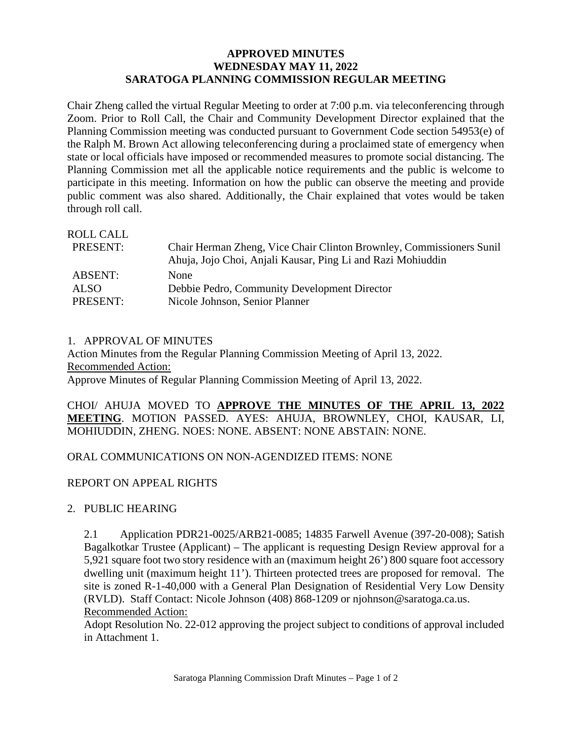## **APPROVED MINUTES WEDNESDAY MAY 11, 2022 SARATOGA PLANNING COMMISSION REGULAR MEETING**

Chair Zheng called the virtual Regular Meeting to order at 7:00 p.m. via teleconferencing through Zoom. Prior to Roll Call, the Chair and Community Development Director explained that the Planning Commission meeting was conducted pursuant to Government Code section 54953(e) of the Ralph M. Brown Act allowing teleconferencing during a proclaimed state of emergency when state or local officials have imposed or recommended measures to promote social distancing. The Planning Commission met all the applicable notice requirements and the public is welcome to participate in this meeting. Information on how the public can observe the meeting and provide public comment was also shared. Additionally, the Chair explained that votes would be taken through roll call.

| Chair Herman Zheng, Vice Chair Clinton Brownley, Commissioners Sunil |
|----------------------------------------------------------------------|
| Ahuja, Jojo Choi, Anjali Kausar, Ping Li and Razi Mohiuddin          |
| <b>None</b>                                                          |
| Debbie Pedro, Community Development Director                         |
| Nicole Johnson, Senior Planner                                       |
|                                                                      |

#### 1. APPROVAL OF MINUTES

Action Minutes from the Regular Planning Commission Meeting of April 13, 2022. Recommended Action: Approve Minutes of Regular Planning Commission Meeting of April 13, 2022.

CHOI/ AHUJA MOVED TO **APPROVE THE MINUTES OF THE APRIL 13, 2022 MEETING**. MOTION PASSED. AYES: AHUJA, BROWNLEY, CHOI, KAUSAR, LI, MOHIUDDIN, ZHENG. NOES: NONE. ABSENT: NONE ABSTAIN: NONE.

## ORAL COMMUNICATIONS ON NON-AGENDIZED ITEMS: NONE

## REPORT ON APPEAL RIGHTS

## 2. PUBLIC HEARING

2.1 Application PDR21-0025/ARB21-0085; 14835 Farwell Avenue (397-20-008); Satish Bagalkotkar Trustee (Applicant) – The applicant is requesting Design Review approval for a 5,921 square foot two story residence with an (maximum height 26') 800 square foot accessory dwelling unit (maximum height 11'). Thirteen protected trees are proposed for removal. The site is zoned R-1-40,000 with a General Plan Designation of Residential Very Low Density (RVLD). Staff Contact: Nicole Johnson (408) 868-1209 or njohnson@saratoga.ca.us. Recommended Action:

Adopt Resolution No. 22-012 approving the project subject to conditions of approval included in Attachment 1.